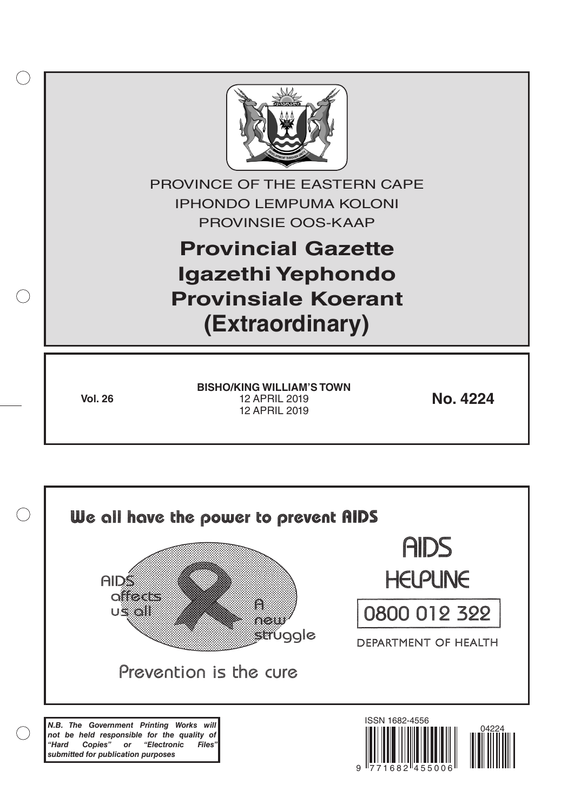

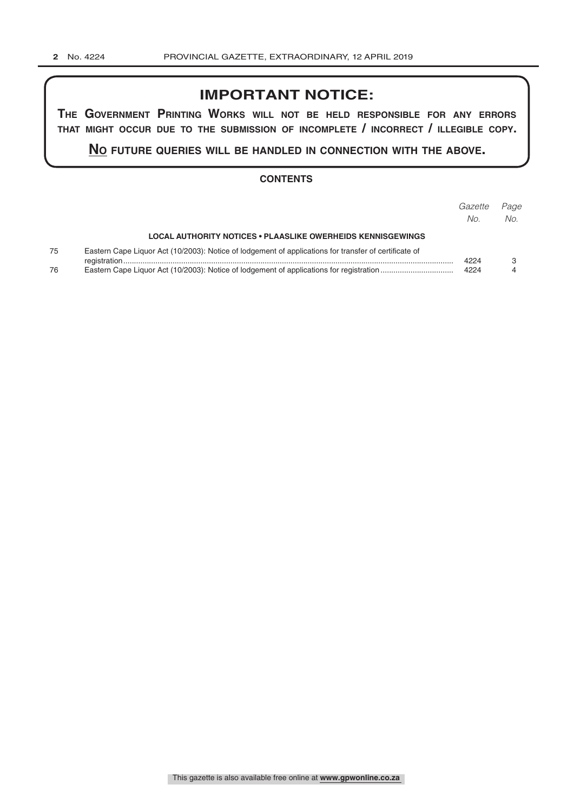# **IMPORTANT NOTICE:**

**The GovernmenT PrinTinG Works Will noT be held resPonsible for any errors ThaT miGhT occur due To The submission of incomPleTe / incorrecT / illeGible coPy.**

**no fuTure queries Will be handled in connecTion WiTh The above.**

### **CONTENTS**

|    |                                                                                                       | Gazette<br>No. | Paae<br>No. |
|----|-------------------------------------------------------------------------------------------------------|----------------|-------------|
|    | <b>LOCAL AUTHORITY NOTICES • PLAASLIKE OWERHEIDS KENNISGEWINGS</b>                                    |                |             |
| 75 | Eastern Cape Liquor Act (10/2003): Notice of lodgement of applications for transfer of certificate of |                |             |
| 76 |                                                                                                       | 4224           |             |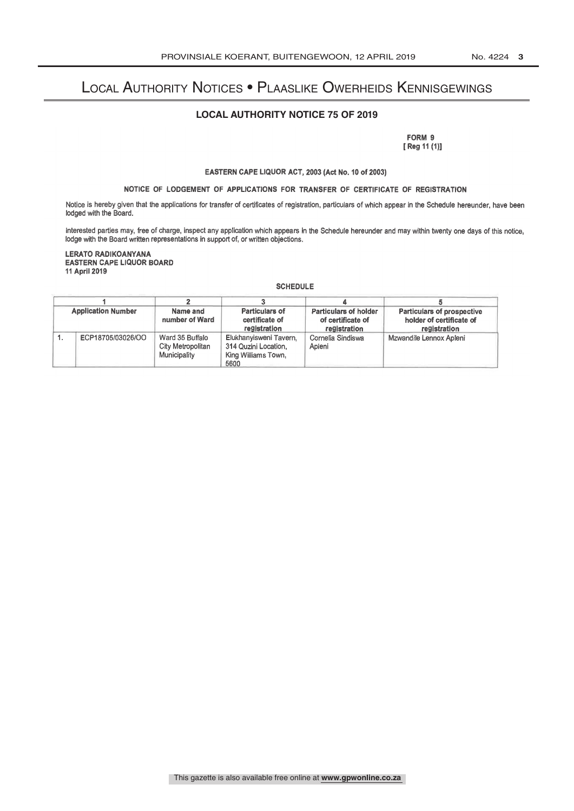## Local Authority Notices • Plaaslike Owerheids Kennisgewings

### **LOCAL AUTHORITY NOTICE 75 OF 2019**

FORM 9 [ Reg 11 (1)]

#### EASTERN CAPE LIQUOR ACT, 2003 (Act No. 10 of 2003)

#### NOTICE OF LODGEMENT OF APPLICATIONS FOR TRANSFER OF CERTIFICATE OF REGISTRATION

Notice is hereby given that the applications for transfer of certificates of registration, particulars of which appear in the Schedule hereunder, have been lodged with the Board.

Interested parties may, free of charge, inspect any application which appears in the Schedule hereunder and may within twenty one days of this notice, lodge with the Board written representations in support of, or written objections.

LERATO RADIKOANYANA EASTERN CAPE LIQUOR BOARD 11 April 2019

#### SCHEDULE

| <b>Application Number</b> |                   |                                                      |                                                                               |                                                                   |                                                                               |
|---------------------------|-------------------|------------------------------------------------------|-------------------------------------------------------------------------------|-------------------------------------------------------------------|-------------------------------------------------------------------------------|
|                           |                   | Name and<br>number of Ward                           | <b>Particulars of</b><br>certificate of<br>registration                       | <b>Particulars of holder</b><br>of certificate of<br>registration | <b>Particulars of prospective</b><br>holder of certificate of<br>registration |
|                           | ECP18705/03026/OO | Ward 35 Buffalo<br>City Metropolitan<br>Municipality | Elukhanyisweni Tavern,<br>314 Quzini Location.<br>King Williams Town,<br>5600 | Cornelia Sindiswa<br>Apleni                                       | Mzwandile Lennox Apleni                                                       |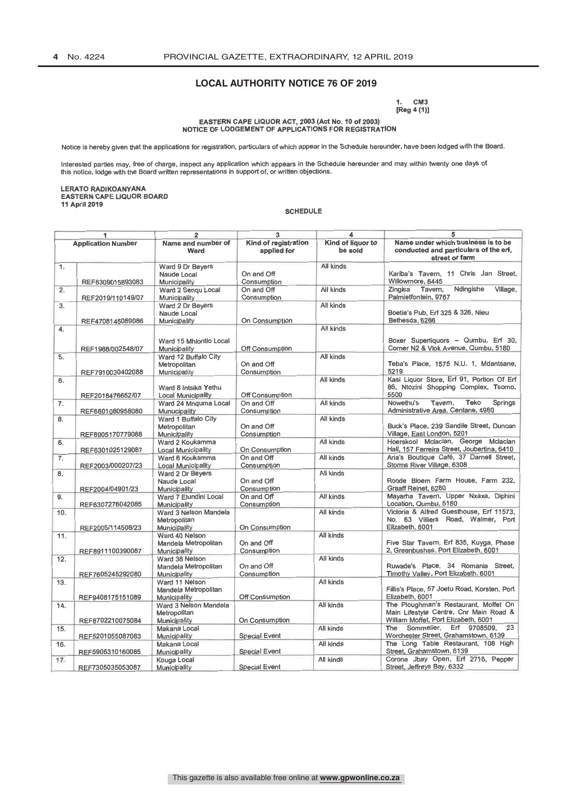## **LOCAL AUTHORITY NOTICE 76 OF 2019**

1. CM3 [Reg 4 (1)]

EASTERN CAPE LIQUOR ACT, 2003 (Act No. 10 of 2003) NOTICE OF LODGEMENT OF APPLICATIONS FOR REGISTRATION

Notice is hereby given that the applications for registration, particulars of which appear in the Schedule hereunder, have been lodged with the Board.

Interested parties may, free of charge, inspect any application which appears in the Schedule hereunder and may within twenty one days of<br>this notice, lodge with the Board written representations in support of, or written

LERATO RADIKOANYANA EASTERN CAPE LIQUOR BOARD 11 April 2019

SCHEDULE

| 1<br><b>Application Number</b> |                   | $\overline{2}$                                         | 3                                   | 4                            | 5                                                                                                                       |  |
|--------------------------------|-------------------|--------------------------------------------------------|-------------------------------------|------------------------------|-------------------------------------------------------------------------------------------------------------------------|--|
|                                |                   | Name and number of<br>Ward                             | Kind of registration<br>applied for | Kind of liquor to<br>be sold | Name under which business is to be<br>conducted and particulars of the erf,<br>street or farm                           |  |
| 1.                             | REF6309015893083  | Ward 9 Dr Beyers<br>Naude Local<br>Municipality        | On and Off<br>Consumption           | All kinds                    | Kariba's Tavern. 11 Chris Jan Street.<br>Willowmore, 6445                                                               |  |
| 2.                             | REF2019/110149/07 | Ward 2 Sengu Local<br>Municipality                     | On and Off<br>Consumption           | All kinds                    | Tavern,<br>Ndingishe<br>Village,<br>Zingisa<br>Palmietfontein, 9767                                                     |  |
| 3.                             | REF4708145089086  | Ward 2 Dr Beyers<br>Naude Local<br><b>Municipality</b> | On Consumption                      | All kinds                    | Boetie's Pub, Erf 325 & 326, Nieu<br>Bethesda, 6286                                                                     |  |
| 4.                             | REF1988/002548/07 | Ward 15 Mhlontlo Local<br>Municipality                 | Off Consumption                     | All kinds                    | Boxer Superliquors - Qumbu, Erf 30,<br>Corner N2 & Vlok Avenue, Qumbu, 5180                                             |  |
| 5.                             | REF7910030402088  | Ward 12 Buffalo City<br>Metropolitan<br>Municipality   | On and Off<br>Consumption           | All kinds                    | Teba's Place, 1575 N.U. 1, Mdantsane,<br>5219                                                                           |  |
| 6.                             | REF2018476652/07  | Ward 8 Intsika Yethu<br>Local Municipality             | Off Consumption                     | All kinds                    | Kasi Liquor Store, Erf 91, Portion Of Erf<br>86, Ntozini Shopping Complex, Tsomo,<br>5500                               |  |
| 7.                             | REF6801080958080  | Ward 24 Mnguma Local<br>Munucipality                   | On and Off<br>Consumption           | All kinds                    | Nowethu's<br>Tavem,<br>Teko<br>Springs<br>Administrative Area, Centane, 4980                                            |  |
| 8.                             | REF8905170779088  | Ward 1 Buffalo City<br>Metropolitan<br>Municipality    | On and Off<br>Consumption           | All kinds                    | Buck's Place, 239 Sandile Street, Duncan<br>Village, East London, 5201                                                  |  |
| 6.                             | REF6301025129087  | Ward 2 Koukamma<br><b>Local Municipality</b>           | On Consumption                      | All kinds                    | Hoerskool Mclaclan, George Mclaclan<br>Hall, 157 Ferreira Street, Joubertina, 6410                                      |  |
| 7.                             | REF2003/000207/23 | Ward 6 Koukamma<br><b>Local Municipality</b>           | On and Off<br>Consumption           | All kinds                    | Aria's Boutique Café, 37 Darnell Street,<br>Storms River Village, 6308                                                  |  |
| 8.                             | REF2004/04901/23  | Ward 2 Dr Beyers<br>Naude Local<br>Municipality        | On and Off<br>Consumption           | All kinds                    | Roode Bloem Farm House, Farm 232,<br>Graaff Reinet, 6280                                                                |  |
| 9.                             | REF6307276042085  | Ward 7 Elundini Local<br>Municipality                  | On and Off<br>Consumption           | All kinds                    | Mayarha Tavern, Upper Nxaxa, Diphini<br>Location, Qumbu, 5180                                                           |  |
| 10.                            | REF2005/114508/23 | Ward 3 Nelson Mandela<br>Metropolitan<br>Municipality  | On Consumption                      | All kinds                    | Victoria & Alfred Guesthouse, Erf 11573,<br>No. 63 Villiers Road, Walmer, Port<br>Elizabeth, 6001                       |  |
| 11.                            | REF8911100390087  | Ward 40 Nelson<br>Mandela Metropolitan<br>Municipality | On and Off<br>Consumption           | All kinds                    | Five Star Tavern, Erf 835, Kuyga, Phase<br>2. Greenbushes, Port Elizabeth, 6001                                         |  |
| 12.                            | REF7605245292080  | Ward 38 Nelson<br>Mandela Metropolitan<br>Municipality | On and Off<br>Consumption           | All kinds                    | Ruwade's Place, 34 Romania Street,<br>Timothy Valley, Port Elizabeth, 6001                                              |  |
| 13.                            | REF9408175151089  | Ward 11 Nelson<br>Mandela Metropolitan<br>Municipality | Off Consumption                     | All kinds                    | Fillis's Place, 57 Joetu Road, Korsten, Port<br>Elizabeth, 6001                                                         |  |
| 14.                            | REF8702210075084  | Ward 3 Nelson Mandela<br>Metropolitan<br>Municipality  | On Consumption                      | All kinds                    | The Ploughman's Restaurant, Moffet On<br>Main Lifestyle Centre, Cnr Main Road &<br>William Moffet, Port Elizabeth, 6001 |  |
| 15.                            | REF5201055087083  | Makana Local<br>Municipality                           | <b>Special Event</b>                | All kinds                    | Sommelier.<br>Erf 9708509,<br>23<br>The<br>Worchester Street, Grahamstown, 6139                                         |  |
| 16.                            | REF5905310160085  | Makana Local<br>Municipality                           | <b>Special Event</b>                | All kinds                    | The Long Table Restaurant, 108 High<br>Street, Grahamstown, 6139                                                        |  |
| $17 -$                         | REF7305035053087  | Kouga Local<br>Municipality                            | <b>Special Event</b>                | All kinds                    | Corona Jbay Open, Erf 2716, Pepper<br>Street, Jeffreys Bay, 6332                                                        |  |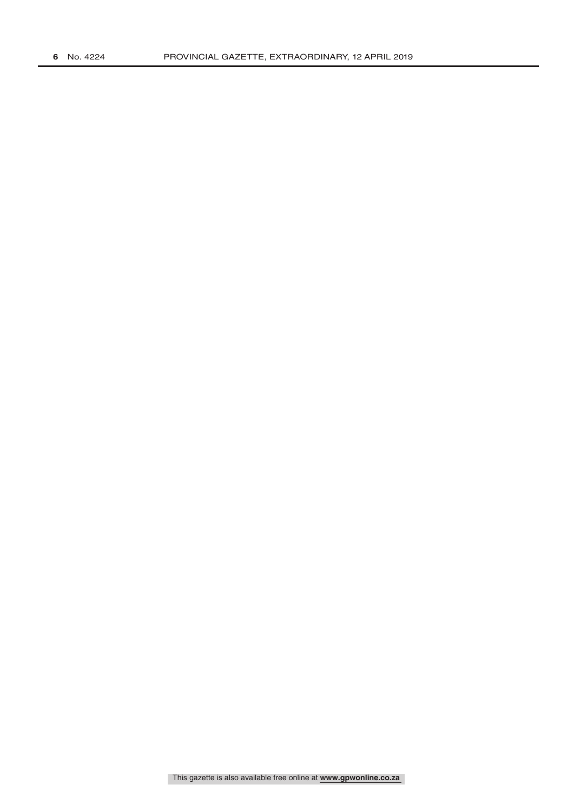This gazette is also available free online at **www.gpwonline.co.za**